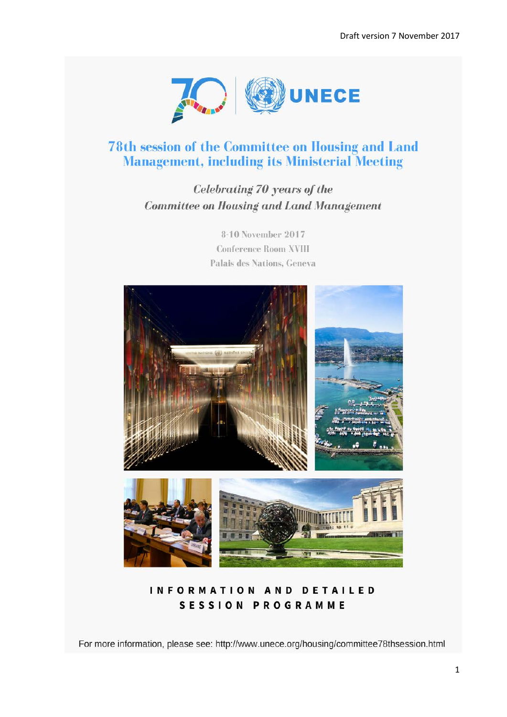

## **78th session of the Committee on Housing and Land Management, including its Ministerial Meeting**

# Celebrating 70 years of the **Committee on Housing and Land Management**

8-10 November 2017 **Conference Room XVIII** Palais des Nations, Geneva



**INFORMATION AND DETAILED SESSION PROGRAMME** 

For more information, please see: http://www.unece.org/housing/committee78thsession.html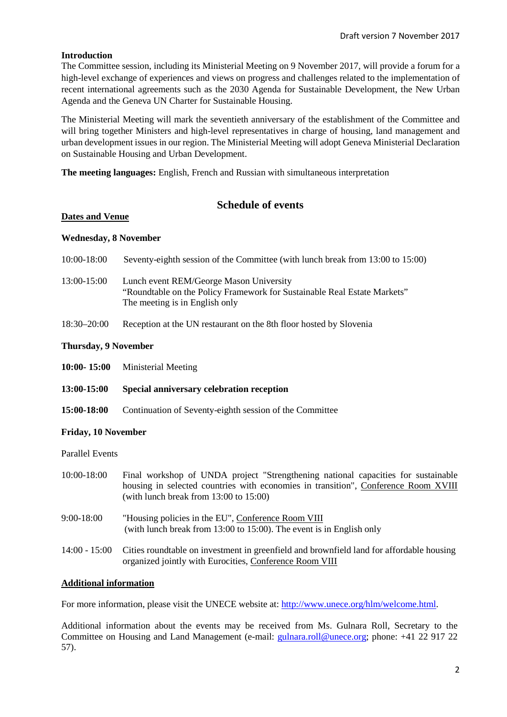#### **Introduction**

The Committee session, including its Ministerial Meeting on 9 November 2017, will provide a forum for a high-level exchange of experiences and views on progress and challenges related to the implementation of recent international agreements such as the 2030 Agenda for Sustainable Development, the New Urban Agenda and the Geneva UN Charter for Sustainable Housing.

The Ministerial Meeting will mark the seventieth anniversary of the establishment of the Committee and will bring together Ministers and high-level representatives in charge of housing, land management and urban development issues in our region. The Ministerial Meeting will adopt Geneva Ministerial Declaration on Sustainable Housing and Urban Development.

**The meeting languages:** English, French and Russian with simultaneous interpretation

## **Schedule of events**

#### **Dates and Venue**

#### **Wednesday, 8 November**

| 10:00-18:00     | Seventy-eighth session of the Committee (with lunch break from 13:00 to 15:00)                                                                        |
|-----------------|-------------------------------------------------------------------------------------------------------------------------------------------------------|
| 13:00-15:00     | Lunch event REM/George Mason University<br>"Roundtable on the Policy Framework for Sustainable Real Estate Markets"<br>The meeting is in English only |
| $18:30 - 20:00$ | Reception at the UN restaurant on the 8th floor hosted by Slovenia                                                                                    |

#### **Thursday, 9 November**

- **10:00- 15:00** Ministerial Meeting
- **13:00-15:00 Special anniversary celebration reception**
- **15:00-18:00** Continuation of Seventy-eighth session of the Committee

#### **Friday, 10 November**

Parallel Events

| 10:00-18:00  | Final workshop of UNDA project "Strengthening national capacities for sustainable<br>housing in selected countries with economies in transition", Conference Room XVIII<br>(with lunch break from $13:00$ to $15:00$ ) |
|--------------|------------------------------------------------------------------------------------------------------------------------------------------------------------------------------------------------------------------------|
| $9:00-18:00$ | "Housing policies in the EU", Conference Room VIII<br>(with lunch break from $13:00$ to $15:00$ ). The event is in English only                                                                                        |
|              | $14.00 - 15.00$ Cities roundtable on investment in greenfield and brownfield land for affordable housing                                                                                                               |

14:00 - 15:00 Cities roundtable on investment in greenfield and brownfield land for affordable housing organized jointly with Eurocities, Conference Room VIII

#### **Additional information**

For more information, please visit the UNECE website at: [http://www.unece.org/hlm/welcome.html.](http://www.unece.org/hlm/welcome.html)

Additional information about the events may be received from Ms. Gulnara Roll, Secretary to the Committee on Housing and Land Management (e-mail: [gulnara.roll@unece.org;](mailto:gulnara.roll@unece.org) phone: +41 22 917 22 57).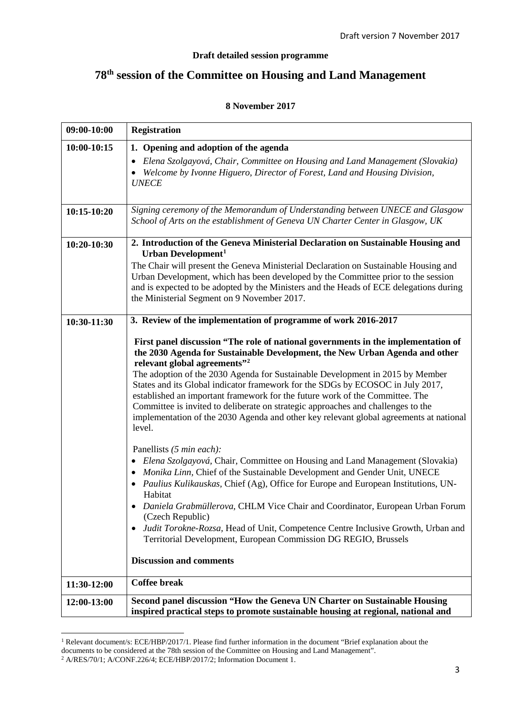#### **Draft detailed session programme**

# **78th session of the Committee on Housing and Land Management**

| 09:00-10:00   | <b>Registration</b>                                                                                                                                                                                                                                                                                                                                                                                                                                                                                                                                                                                                                                     |  |
|---------------|---------------------------------------------------------------------------------------------------------------------------------------------------------------------------------------------------------------------------------------------------------------------------------------------------------------------------------------------------------------------------------------------------------------------------------------------------------------------------------------------------------------------------------------------------------------------------------------------------------------------------------------------------------|--|
| 10:00-10:15   | 1. Opening and adoption of the agenda<br>Elena Szolgayová, Chair, Committee on Housing and Land Management (Slovakia)<br>• Welcome by Ivonne Higuero, Director of Forest, Land and Housing Division,                                                                                                                                                                                                                                                                                                                                                                                                                                                    |  |
| $10:15-10:20$ | <b>UNECE</b><br>Signing ceremony of the Memorandum of Understanding between UNECE and Glasgow                                                                                                                                                                                                                                                                                                                                                                                                                                                                                                                                                           |  |
|               | School of Arts on the establishment of Geneva UN Charter Center in Glasgow, UK                                                                                                                                                                                                                                                                                                                                                                                                                                                                                                                                                                          |  |
| 10:20-10:30   | 2. Introduction of the Geneva Ministerial Declaration on Sustainable Housing and<br>Urban Development <sup>1</sup>                                                                                                                                                                                                                                                                                                                                                                                                                                                                                                                                      |  |
|               | The Chair will present the Geneva Ministerial Declaration on Sustainable Housing and<br>Urban Development, which has been developed by the Committee prior to the session<br>and is expected to be adopted by the Ministers and the Heads of ECE delegations during<br>the Ministerial Segment on 9 November 2017.                                                                                                                                                                                                                                                                                                                                      |  |
| 10:30-11:30   | 3. Review of the implementation of programme of work 2016-2017                                                                                                                                                                                                                                                                                                                                                                                                                                                                                                                                                                                          |  |
|               | First panel discussion "The role of national governments in the implementation of<br>the 2030 Agenda for Sustainable Development, the New Urban Agenda and other<br>relevant global agreements" <sup>2</sup><br>The adoption of the 2030 Agenda for Sustainable Development in 2015 by Member<br>States and its Global indicator framework for the SDGs by ECOSOC in July 2017,<br>established an important framework for the future work of the Committee. The<br>Committee is invited to deliberate on strategic approaches and challenges to the<br>implementation of the 2030 Agenda and other key relevant global agreements at national<br>level. |  |
|               | Panellists (5 min each):<br>Elena Szolgayová, Chair, Committee on Housing and Land Management (Slovakia)<br>Monika Linn, Chief of the Sustainable Development and Gender Unit, UNECE<br>• Paulius Kulikauskas, Chief (Ag), Office for Europe and European Institutions, UN-<br>Habitat<br>• Daniela Grabmüllerova, CHLM Vice Chair and Coordinator, European Urban Forum<br>(Czech Republic)<br>Judit Torokne-Rozsa, Head of Unit, Competence Centre Inclusive Growth, Urban and                                                                                                                                                                        |  |
|               | Territorial Development, European Commission DG REGIO, Brussels                                                                                                                                                                                                                                                                                                                                                                                                                                                                                                                                                                                         |  |
|               | <b>Discussion and comments</b>                                                                                                                                                                                                                                                                                                                                                                                                                                                                                                                                                                                                                          |  |
| 11:30-12:00   | <b>Coffee break</b>                                                                                                                                                                                                                                                                                                                                                                                                                                                                                                                                                                                                                                     |  |
| 12:00-13:00   | Second panel discussion "How the Geneva UN Charter on Sustainable Housing<br>inspired practical steps to promote sustainable housing at regional, national and                                                                                                                                                                                                                                                                                                                                                                                                                                                                                          |  |

#### **8 November 2017**

 $\overline{a}$ 

<span id="page-2-0"></span><sup>&</sup>lt;sup>1</sup> Relevant document/s: ECE/HBP/2017/1. Please find further information in the document "Brief explanation about the documents to be considered at the 78th session of the Committee on Housing and Land Management".

<span id="page-2-1"></span><sup>2</sup> A/RES/70/1; A/CONF.226/4; ECE/HBP/2017/2; Information Document 1.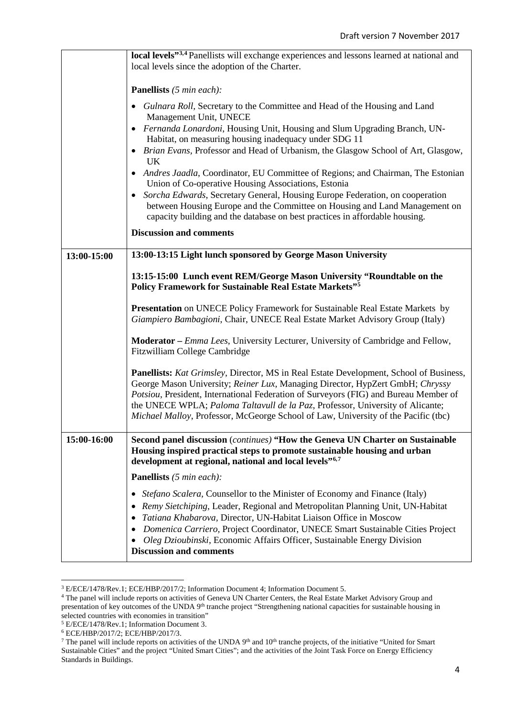|             | local levels" <sup>3,4</sup> Panellists will exchange experiences and lessons learned at national and<br>local levels since the adoption of the Charter.                                                                                                                                                                                                                                                                                       |
|-------------|------------------------------------------------------------------------------------------------------------------------------------------------------------------------------------------------------------------------------------------------------------------------------------------------------------------------------------------------------------------------------------------------------------------------------------------------|
|             |                                                                                                                                                                                                                                                                                                                                                                                                                                                |
|             | <b>Panellists</b> (5 min each):                                                                                                                                                                                                                                                                                                                                                                                                                |
|             | Gulnara Roll, Secretary to the Committee and Head of the Housing and Land<br>$\bullet$<br>Management Unit, UNECE                                                                                                                                                                                                                                                                                                                               |
|             | · Fernanda Lonardoni, Housing Unit, Housing and Slum Upgrading Branch, UN-<br>Habitat, on measuring housing inadequacy under SDG 11                                                                                                                                                                                                                                                                                                            |
|             | • Brian Evans, Professor and Head of Urbanism, the Glasgow School of Art, Glasgow,<br>UK.                                                                                                                                                                                                                                                                                                                                                      |
|             | • Andres Jaadla, Coordinator, EU Committee of Regions; and Chairman, The Estonian<br>Union of Co-operative Housing Associations, Estonia                                                                                                                                                                                                                                                                                                       |
|             | Sorcha Edwards, Secretary General, Housing Europe Federation, on cooperation<br>between Housing Europe and the Committee on Housing and Land Management on<br>capacity building and the database on best practices in affordable housing.                                                                                                                                                                                                      |
|             | <b>Discussion and comments</b>                                                                                                                                                                                                                                                                                                                                                                                                                 |
| 13:00-15:00 | 13:00-13:15 Light lunch sponsored by George Mason University                                                                                                                                                                                                                                                                                                                                                                                   |
|             | 13:15-15:00 Lunch event REM/George Mason University "Roundtable on the<br><b>Policy Framework for Sustainable Real Estate Markets"</b> 5                                                                                                                                                                                                                                                                                                       |
|             | Presentation on UNECE Policy Framework for Sustainable Real Estate Markets by<br>Giampiero Bambagioni, Chair, UNECE Real Estate Market Advisory Group (Italy)                                                                                                                                                                                                                                                                                  |
|             | <b>Moderator</b> – <i>Emma Lees</i> , University Lecturer, University of Cambridge and Fellow,<br>Fitzwilliam College Cambridge                                                                                                                                                                                                                                                                                                                |
|             | <b>Panellists:</b> Kat Grimsley, Director, MS in Real Estate Development, School of Business,<br>George Mason University; Reiner Lux, Managing Director, HypZert GmbH; Chryssy<br>Potsiou, President, International Federation of Surveyors (FIG) and Bureau Member of<br>the UNECE WPLA; Paloma Taltavull de la Paz, Professor, University of Alicante;<br>Michael Malloy, Professor, McGeorge School of Law, University of the Pacific (tbc) |
| 15:00-16:00 | Second panel discussion ( <i>continues</i> ) "How the Geneva UN Charter on Sustainable<br>Housing inspired practical steps to promote sustainable housing and urban<br>development at regional, national and local levels" <sup>6,7</sup>                                                                                                                                                                                                      |
|             | <b>Panellists</b> (5 min each):                                                                                                                                                                                                                                                                                                                                                                                                                |
|             | Stefano Scalera, Counsellor to the Minister of Economy and Finance (Italy)<br>٠                                                                                                                                                                                                                                                                                                                                                                |
|             | Remy Sietchiping, Leader, Regional and Metropolitan Planning Unit, UN-Habitat<br>Tatiana Khabarova, Director, UN-Habitat Liaison Office in Moscow                                                                                                                                                                                                                                                                                              |
|             | Domenica Carriero, Project Coordinator, UNECE Smart Sustainable Cities Project<br>Oleg Dzioubinski, Economic Affairs Officer, Sustainable Energy Division<br>٠                                                                                                                                                                                                                                                                                 |
|             | <b>Discussion and comments</b>                                                                                                                                                                                                                                                                                                                                                                                                                 |

<span id="page-3-0"></span><sup>3</sup> E/ECE/1478/Rev.1; ECE/HBP/2017/2; Information Document 4; Information Document 5.

**.** 

<span id="page-3-1"></span><sup>4</sup> The panel will include reports on activities of Geneva UN Charter Centers, the Real Estate Market Advisory Group and presentation of key outcomes of the UNDA 9<sup>th</sup> tranche project "Strengthening national capacities for sustainable housing in selected countries with economies in transition"

<span id="page-3-2"></span><sup>5</sup> E/ECE/1478/Rev.1; Information Document 3.

<span id="page-3-3"></span><sup>6</sup> ECE/HBP/2017/2; ECE/HBP/2017/3.

<span id="page-3-4"></span><sup>&</sup>lt;sup>7</sup> The panel will include reports on activities of the UNDA  $9<sup>th</sup>$  and  $10<sup>th</sup>$  tranche projects, of the initiative "United for Smart" Sustainable Cities" and the project "United Smart Cities"; and the activities of the Joint Task Force on Energy Efficiency Standards in Buildings.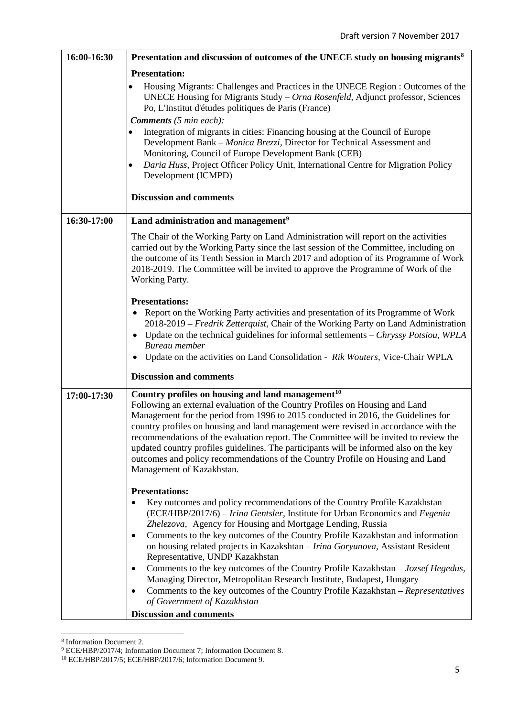| 16:00-16:30 | Presentation and discussion of outcomes of the UNECE study on housing migrants <sup>8</sup>                                                                                                                                                                                                                                                                                                                                                                                                                                                                                                                                                                                                                                                                                                    |
|-------------|------------------------------------------------------------------------------------------------------------------------------------------------------------------------------------------------------------------------------------------------------------------------------------------------------------------------------------------------------------------------------------------------------------------------------------------------------------------------------------------------------------------------------------------------------------------------------------------------------------------------------------------------------------------------------------------------------------------------------------------------------------------------------------------------|
|             | <b>Presentation:</b><br>Housing Migrants: Challenges and Practices in the UNECE Region : Outcomes of the<br>UNECE Housing for Migrants Study - Orna Rosenfeld, Adjunct professor, Sciences<br>Po, L'Institut d'études politiques de Paris (France)<br><b>Comments</b> (5 min each):<br>Integration of migrants in cities: Financing housing at the Council of Europe<br>Development Bank - Monica Brezzi, Director for Technical Assessment and<br>Monitoring, Council of Europe Development Bank (CEB)<br>Daria Huss, Project Officer Policy Unit, International Centre for Migration Policy<br>$\bullet$<br>Development (ICMPD)                                                                                                                                                              |
|             | <b>Discussion and comments</b>                                                                                                                                                                                                                                                                                                                                                                                                                                                                                                                                                                                                                                                                                                                                                                 |
| 16:30-17:00 | Land administration and management <sup>9</sup>                                                                                                                                                                                                                                                                                                                                                                                                                                                                                                                                                                                                                                                                                                                                                |
|             | The Chair of the Working Party on Land Administration will report on the activities<br>carried out by the Working Party since the last session of the Committee, including on<br>the outcome of its Tenth Session in March 2017 and adoption of its Programme of Work<br>2018-2019. The Committee will be invited to approve the Programme of Work of the<br>Working Party.                                                                                                                                                                                                                                                                                                                                                                                                                    |
|             | <b>Presentations:</b><br>Report on the Working Party activities and presentation of its Programme of Work<br>$\bullet$<br>2018-2019 - Fredrik Zetterquist, Chair of the Working Party on Land Administration<br>Update on the technical guidelines for informal settlements – Chryssy Potsiou, WPLA<br>$\bullet$<br>Bureau member<br>Update on the activities on Land Consolidation - Rik Wouters, Vice-Chair WPLA<br>$\bullet$                                                                                                                                                                                                                                                                                                                                                                |
|             | <b>Discussion and comments</b>                                                                                                                                                                                                                                                                                                                                                                                                                                                                                                                                                                                                                                                                                                                                                                 |
| 17:00-17:30 | Country profiles on housing and land management <sup>10</sup><br>Following an external evaluation of the Country Profiles on Housing and Land<br>Management for the period from 1996 to 2015 conducted in 2016, the Guidelines for<br>country profiles on housing and land management were revised in accordance with the<br>recommendations of the evaluation report. The Committee will be invited to review the<br>updated country profiles guidelines. The participants will be informed also on the key<br>outcomes and policy recommendations of the Country Profile on Housing and Land<br>Management of Kazakhstan.                                                                                                                                                                    |
|             | <b>Presentations:</b><br>Key outcomes and policy recommendations of the Country Profile Kazakhstan<br>(ECE/HBP/2017/6) – Irina Gentsler, Institute for Urban Economics and Evgenia<br>Zhelezova, Agency for Housing and Mortgage Lending, Russia<br>Comments to the key outcomes of the Country Profile Kazakhstan and information<br>$\bullet$<br>on housing related projects in Kazakshtan - Irina Goryunova, Assistant Resident<br>Representative, UNDP Kazakhstan<br>Comments to the key outcomes of the Country Profile Kazakhstan $-Jozsef Hegedus$ ,<br>٠<br>Managing Director, Metropolitan Research Institute, Budapest, Hungary<br>Comments to the key outcomes of the Country Profile Kazakhstan - Representatives<br>of Government of Kazakhstan<br><b>Discussion and comments</b> |

 $\overline{a}$ <sup>8</sup> Information Document 2.

<span id="page-4-1"></span><span id="page-4-0"></span><sup>9</sup> ECE/HBP/2017/4; Information Document 7; Information Document 8.

<span id="page-4-2"></span><sup>10</sup> ECE/HBP/2017/5; ECE/HBP/2017/6; Information Document 9.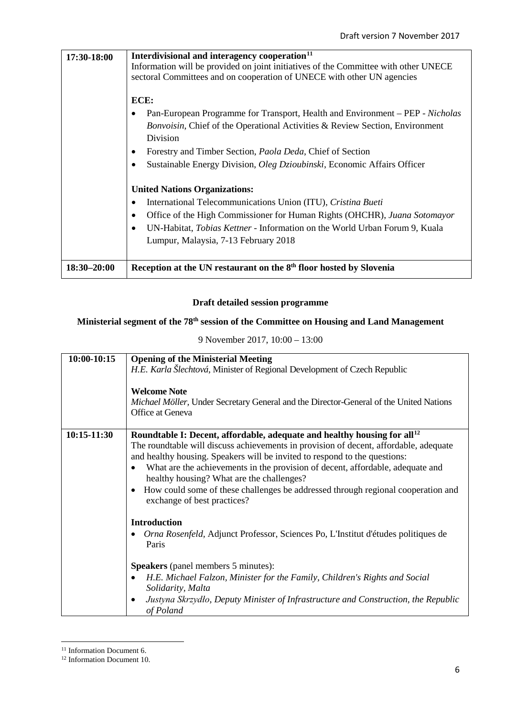| 17:30-18:00     | Interdivisional and interagency cooperation <sup>11</sup><br>Information will be provided on joint initiatives of the Committee with other UNECE<br>sectoral Committees and on cooperation of UNECE with other UN agencies<br>ECE:<br>Pan-European Programme for Transport, Health and Environment – PEP - Nicholas<br>Bonvoisin, Chief of the Operational Activities & Review Section, Environment<br>Division<br>Forestry and Timber Section, <i>Paola Deda</i> , Chief of Section<br>Sustainable Energy Division, <i>Oleg Dzioubinski</i> , Economic Affairs Officer |
|-----------------|-------------------------------------------------------------------------------------------------------------------------------------------------------------------------------------------------------------------------------------------------------------------------------------------------------------------------------------------------------------------------------------------------------------------------------------------------------------------------------------------------------------------------------------------------------------------------|
|                 | <b>United Nations Organizations:</b><br>International Telecommunications Union (ITU), Cristina Bueti<br>Office of the High Commissioner for Human Rights (OHCHR), Juana Sotomayor<br>UN-Habitat, <i>Tobias Kettner</i> - Information on the World Urban Forum 9, Kuala<br>٠<br>Lumpur, Malaysia, 7-13 February 2018                                                                                                                                                                                                                                                     |
| $18:30 - 20:00$ | Reception at the UN restaurant on the 8 <sup>th</sup> floor hosted by Slovenia                                                                                                                                                                                                                                                                                                                                                                                                                                                                                          |

### **Draft detailed session programme**

## **Ministerial segment of the 78th session of the Committee on Housing and Land Management**

| 9 November 2017, 10:00 – 13:00 |  |  |
|--------------------------------|--|--|
|                                |  |  |

| $10:00-10:15$ | <b>Opening of the Ministerial Meeting</b><br>H.E. Karla Šlechtová, Minister of Regional Development of Czech Republic<br><b>Welcome Note</b><br>Michael Möller, Under Secretary General and the Director-General of the United Nations<br>Office at Geneva                                                                                                                                                                                                                                                                              |
|---------------|-----------------------------------------------------------------------------------------------------------------------------------------------------------------------------------------------------------------------------------------------------------------------------------------------------------------------------------------------------------------------------------------------------------------------------------------------------------------------------------------------------------------------------------------|
| 10:15-11:30   | Roundtable I: Decent, affordable, adequate and healthy housing for all <sup>12</sup><br>The roundtable will discuss achievements in provision of decent, affordable, adequate<br>and healthy housing. Speakers will be invited to respond to the questions:<br>What are the achievements in the provision of decent, affordable, adequate and<br>$\bullet$<br>healthy housing? What are the challenges?<br>How could some of these challenges be addressed through regional cooperation and<br>$\bullet$<br>exchange of best practices? |
|               | <b>Introduction</b><br>Orna Rosenfeld, Adjunct Professor, Sciences Po, L'Institut d'études politiques de<br>Paris<br><b>Speakers</b> (panel members 5 minutes):<br>H.E. Michael Falzon, Minister for the Family, Children's Rights and Social<br>$\bullet$<br>Solidarity, Malta                                                                                                                                                                                                                                                         |
|               | Justyna Skrzydło, Deputy Minister of Infrastructure and Construction, the Republic<br>$\bullet$<br>of Poland                                                                                                                                                                                                                                                                                                                                                                                                                            |

<span id="page-5-0"></span><sup>&</sup>lt;sup>11</sup> Information Document 6.

**.** 

<span id="page-5-1"></span><sup>12</sup> Information Document 10.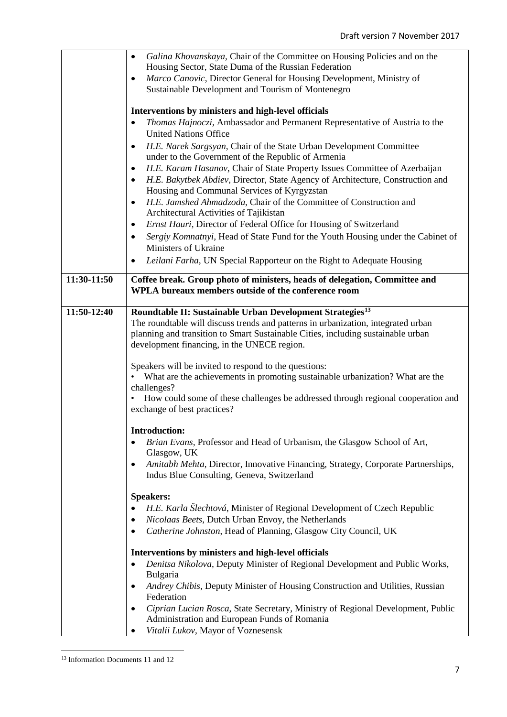|             | Galina Khovanskaya, Chair of the Committee on Housing Policies and on the<br>$\bullet$<br>Housing Sector, State Duma of the Russian Federation<br>Marco Canovic, Director General for Housing Development, Ministry of<br>٠<br>Sustainable Development and Tourism of Montenegro<br>Interventions by ministers and high-level officials<br>Thomas Hajnoczi, Ambassador and Permanent Representative of Austria to the<br>٠<br><b>United Nations Office</b><br>H.E. Narek Sargsyan, Chair of the State Urban Development Committee<br>٠<br>under to the Government of the Republic of Armenia<br>H.E. Karam Hasanov, Chair of State Property Issues Committee of Azerbaijan<br>٠<br>H.E. Bakytbek Abdiev, Director, State Agency of Architecture, Construction and<br>٠<br>Housing and Communal Services of Kyrgyzstan<br>H.E. Jamshed Ahmadzoda, Chair of the Committee of Construction and<br>٠<br>Architectural Activities of Tajikistan<br>Ernst Hauri, Director of Federal Office for Housing of Switzerland<br>$\bullet$<br>Sergiy Komnatnyi, Head of State Fund for the Youth Housing under the Cabinet of<br>٠<br>Ministers of Ukraine<br>Leilani Farha, UN Special Rapporteur on the Right to Adequate Housing<br>٠ |
|-------------|-----------------------------------------------------------------------------------------------------------------------------------------------------------------------------------------------------------------------------------------------------------------------------------------------------------------------------------------------------------------------------------------------------------------------------------------------------------------------------------------------------------------------------------------------------------------------------------------------------------------------------------------------------------------------------------------------------------------------------------------------------------------------------------------------------------------------------------------------------------------------------------------------------------------------------------------------------------------------------------------------------------------------------------------------------------------------------------------------------------------------------------------------------------------------------------------------------------------------------|
| 11:30-11:50 | Coffee break. Group photo of ministers, heads of delegation, Committee and<br>WPLA bureaux members outside of the conference room                                                                                                                                                                                                                                                                                                                                                                                                                                                                                                                                                                                                                                                                                                                                                                                                                                                                                                                                                                                                                                                                                           |
| 11:50-12:40 | Roundtable II: Sustainable Urban Development Strategies <sup>13</sup><br>The roundtable will discuss trends and patterns in urbanization, integrated urban<br>planning and transition to Smart Sustainable Cities, including sustainable urban<br>development financing, in the UNECE region.<br>Speakers will be invited to respond to the questions:<br>What are the achievements in promoting sustainable urbanization? What are the<br>challenges?<br>How could some of these challenges be addressed through regional cooperation and<br>exchange of best practices?                                                                                                                                                                                                                                                                                                                                                                                                                                                                                                                                                                                                                                                   |
|             | <b>Introduction:</b><br>Brian Evans, Professor and Head of Urbanism, the Glasgow School of Art,<br>Glasgow, UK<br>Amitabh Mehta, Director, Innovative Financing, Strategy, Corporate Partnerships,<br>٠<br>Indus Blue Consulting, Geneva, Switzerland<br><b>Speakers:</b><br>H.E. Karla Šlechtová, Minister of Regional Development of Czech Republic<br>Nicolaas Beets, Dutch Urban Envoy, the Netherlands<br>٠<br>Catherine Johnston, Head of Planning, Glasgow City Council, UK<br>٠<br>Interventions by ministers and high-level officials<br>Denitsa Nikolova, Deputy Minister of Regional Development and Public Works,<br>$\bullet$<br>Bulgaria<br>Andrey Chibis, Deputy Minister of Housing Construction and Utilities, Russian<br>٠<br>Federation<br>Ciprian Lucian Rosca, State Secretary, Ministry of Regional Development, Public<br>٠<br>Administration and European Funds of Romania<br>Vitalii Lukov, Mayor of Voznesensk                                                                                                                                                                                                                                                                                    |

<span id="page-6-0"></span> $\overline{a}$ <sup>13</sup> Information Documents 11 and 12